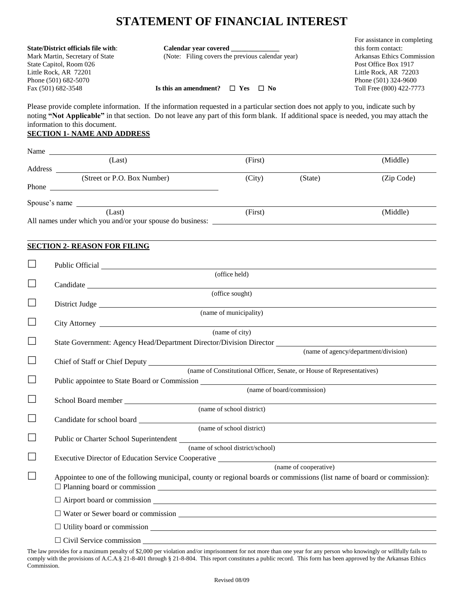# **STATEMENT OF FINANCIAL INTEREST**

|                                                                                                                                                                                                                                                                                                            |                                                  | For assistance in completing |  |
|------------------------------------------------------------------------------------------------------------------------------------------------------------------------------------------------------------------------------------------------------------------------------------------------------------|--------------------------------------------------|------------------------------|--|
| <b>State/District officials file with:</b>                                                                                                                                                                                                                                                                 | Calendar year covered                            | this form contact:           |  |
| Mark Martin, Secretary of State                                                                                                                                                                                                                                                                            | (Note: Filing covers the previous calendar year) | Arkansas Ethics Commission   |  |
| State Capitol, Room 026                                                                                                                                                                                                                                                                                    |                                                  | Post Office Box 1917         |  |
| Little Rock, AR 72201                                                                                                                                                                                                                                                                                      |                                                  | Little Rock, AR 72203        |  |
| Phone (501) 682-5070                                                                                                                                                                                                                                                                                       |                                                  | Phone (501) 324-9600         |  |
| Fax (501) 682-3548                                                                                                                                                                                                                                                                                         | Is this an amendment? $\Box$ Yes $\Box$ No       | Toll Free (800) 422-7773     |  |
| Please provide complete information. If the information requested in a particular section does not apply to you, indicate such by<br>noting "Not Applicable" in that section. Do not leave any part of this form blank. If additional space is needed, you may attach the<br>information to this document. |                                                  |                              |  |

### **SECTION 1- NAME AND ADDRESS**

|                             | Name                                                                                                                                                                    |                                  |                                                                       |                                      |
|-----------------------------|-------------------------------------------------------------------------------------------------------------------------------------------------------------------------|----------------------------------|-----------------------------------------------------------------------|--------------------------------------|
|                             | (Last)                                                                                                                                                                  | (First)                          |                                                                       | (Middle)                             |
|                             | (Street or P.O. Box Number)                                                                                                                                             | (City)                           | (State)                                                               | (Zip Code)                           |
|                             |                                                                                                                                                                         |                                  |                                                                       |                                      |
|                             | Spouse's name                                                                                                                                                           |                                  |                                                                       |                                      |
|                             | (Last)                                                                                                                                                                  | (First)                          |                                                                       | (Middle)                             |
|                             | <b>SECTION 2- REASON FOR FILING</b>                                                                                                                                     |                                  |                                                                       |                                      |
| $\Box$                      |                                                                                                                                                                         |                                  |                                                                       |                                      |
|                             |                                                                                                                                                                         | (office held)                    |                                                                       |                                      |
|                             |                                                                                                                                                                         | (office sought)                  |                                                                       |                                      |
| $\Box$                      | District Judge                                                                                                                                                          |                                  |                                                                       |                                      |
| $\Box$                      |                                                                                                                                                                         | (name of municipality)           |                                                                       |                                      |
|                             |                                                                                                                                                                         | (name of city)                   |                                                                       |                                      |
|                             | State Government: Agency Head/Department Director/Division Director                                                                                                     |                                  |                                                                       |                                      |
|                             |                                                                                                                                                                         |                                  |                                                                       | (name of agency/department/division) |
|                             |                                                                                                                                                                         |                                  | (name of Constitutional Officer, Senate, or House of Representatives) |                                      |
| $\mathcal{L}_{\mathcal{A}}$ | Public appointee to State Board or Commission ___________________________________                                                                                       |                                  | (name of board/commission)                                            |                                      |
| $\Box$                      |                                                                                                                                                                         |                                  |                                                                       |                                      |
|                             |                                                                                                                                                                         | (name of school district)        |                                                                       |                                      |
| $\mathcal{L}_{\mathcal{A}}$ |                                                                                                                                                                         |                                  |                                                                       |                                      |
|                             | Public or Charter School Superintendent                                                                                                                                 | (name of school district)        |                                                                       |                                      |
|                             |                                                                                                                                                                         | (name of school district/school) |                                                                       |                                      |
|                             | Executive Director of Education Service Cooperative ____________________________                                                                                        |                                  |                                                                       |                                      |
|                             | Appointee to one of the following municipal, county or regional boards or commissions (list name of board or commission):<br>$\Box$ Planning board or commission $\Box$ |                                  | (name of cooperative)                                                 |                                      |
|                             | $\Box$ Airport board or commission $\Box$                                                                                                                               |                                  |                                                                       |                                      |
|                             | $\Box$ Water or Sewer board or commission $\Box$                                                                                                                        |                                  |                                                                       |                                      |
|                             | $\Box$ Utility board or commission $\Box$                                                                                                                               |                                  |                                                                       |                                      |
|                             | $\Box$ Civil Service commission<br><u> 1980 - Johann Barn, mars ann an t-Amhain Aonaichte ann an t-Aonaichte ann an t-Aonaichte ann an t-Aonaichte a</u>                |                                  |                                                                       |                                      |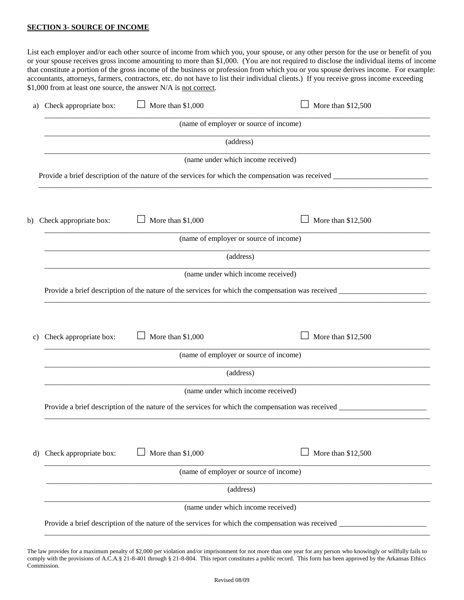#### **SECTION 3- SOURCE OF INCOME**

List each employer and/or each other source of income from which you, your spouse, or any other person for the use or benefit of you or your spouse receives gross income amounting to more than \$1,000. (You are not required to disclose the individual items of income that constitute a portion of the gross income of the business or profession from which you or you spouse derives income. For example: accountants, attorneys, farmers, contractors, etc. do not have to list their individual clients.) If you receive gross income exceeding \$1,000 from at least one source, the answer N/A is not correct.

| a) | Check appropriate box: | More than \$1,000 | More than \$12,500                                                                                  |
|----|------------------------|-------------------|-----------------------------------------------------------------------------------------------------|
|    |                        |                   | (name of employer or source of income)                                                              |
|    |                        |                   | (address)                                                                                           |
|    |                        |                   | (name under which income received)                                                                  |
|    |                        |                   |                                                                                                     |
|    |                        |                   |                                                                                                     |
| b) | Check appropriate box: | More than \$1,000 | More than \$12,500                                                                                  |
|    |                        |                   | (name of employer or source of income)                                                              |
|    |                        |                   | (address)                                                                                           |
|    |                        |                   | (name under which income received)                                                                  |
|    |                        |                   |                                                                                                     |
|    |                        |                   |                                                                                                     |
| C) | Check appropriate box: | More than \$1,000 | More than \$12,500                                                                                  |
|    |                        |                   | (name of employer or source of income)                                                              |
|    |                        |                   | (address)                                                                                           |
|    |                        |                   | (name under which income received)                                                                  |
|    |                        |                   |                                                                                                     |
|    |                        |                   |                                                                                                     |
| d) | Check appropriate box: | More than \$1,000 | More than \$12,500                                                                                  |
|    |                        |                   | (name of employer or source of income)                                                              |
|    |                        |                   | (address)                                                                                           |
|    |                        |                   | (name under which income received)                                                                  |
|    |                        |                   | Provide a brief description of the nature of the services for which the compensation was received _ |
|    |                        |                   |                                                                                                     |

The law provides for a maximum penalty of \$2,000 per violation and/or imprisonment for not more than one year for any person who knowingly or willfully fails to comply with the provisions of A.C.A.§ 21-8-401 through § 21-8-804. This report constitutes a public record. This form has been approved by the Arkansas Ethics Commission.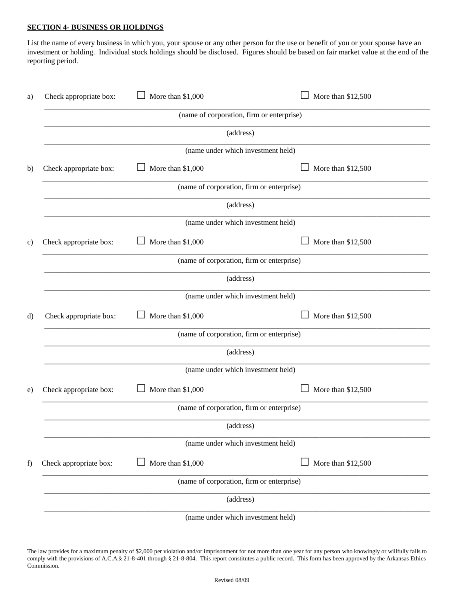### **SECTION 4- BUSINESS OR HOLDINGS**

List the name of every business in which you, your spouse or any other person for the use or benefit of you or your spouse have an investment or holding. Individual stock holdings should be disclosed. Figures should be based on fair market value at the end of the reporting period.

| Check appropriate box:                    | More than \$1,000                         | More than \$12,500 |  |  |
|-------------------------------------------|-------------------------------------------|--------------------|--|--|
|                                           | (name of corporation, firm or enterprise) |                    |  |  |
|                                           | (address)                                 |                    |  |  |
|                                           | (name under which investment held)        |                    |  |  |
| Check appropriate box:                    | More than \$1,000                         | More than \$12,500 |  |  |
|                                           | (name of corporation, firm or enterprise) |                    |  |  |
|                                           | (address)                                 |                    |  |  |
|                                           | (name under which investment held)        |                    |  |  |
| Check appropriate box:                    | More than \$1,000                         | More than \$12,500 |  |  |
|                                           | (name of corporation, firm or enterprise) |                    |  |  |
|                                           | (address)                                 |                    |  |  |
|                                           | (name under which investment held)        |                    |  |  |
| Check appropriate box:                    | More than \$1,000                         | More than \$12,500 |  |  |
|                                           | (name of corporation, firm or enterprise) |                    |  |  |
|                                           | (address)                                 |                    |  |  |
|                                           | (name under which investment held)        |                    |  |  |
| Check appropriate box:                    | More than \$1,000                         | More than \$12,500 |  |  |
| (name of corporation, firm or enterprise) |                                           |                    |  |  |
|                                           | (address)                                 |                    |  |  |
|                                           | (name under which investment held)        |                    |  |  |
| Check appropriate box:                    | More than \$1,000                         | More than \$12,500 |  |  |
| (name of corporation, firm or enterprise) |                                           |                    |  |  |
|                                           | (address)                                 |                    |  |  |
|                                           | (name under which investment held)        |                    |  |  |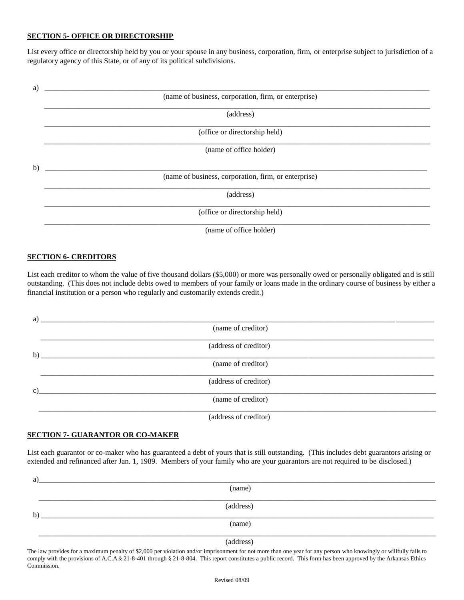#### **SECTION 5- OFFICE OR DIRECTORSHIP**

List every office or directorship held by you or your spouse in any business, corporation, firm, or enterprise subject to jurisdiction of a regulatory agency of this State, or of any of its political subdivisions.



#### **SECTION 6- CREDITORS**

List each creditor to whom the value of five thousand dollars (\$5,000) or more was personally owed or personally obligated and is still outstanding. (This does not include debts owed to members of your family or loans made in the ordinary course of business by either a financial institution or a person who regularly and customarily extends credit.)

| a) |                                         |
|----|-----------------------------------------|
|    | (name of creditor)                      |
|    | (address of creditor)<br>$\mathbf{b}$ ) |
|    | (name of creditor)                      |
|    | (address of creditor)                   |
| C) | (name of creditor)                      |
|    | (address of creditor)                   |

#### **SECTION 7- GUARANTOR OR CO-MAKER**

List each guarantor or co-maker who has guaranteed a debt of yours that is still outstanding. (This includes debt guarantors arising or extended and refinanced after Jan. 1, 1989. Members of your family who are your guarantors are not required to be disclosed.)

| a |                      |
|---|----------------------|
|   | (name)               |
|   |                      |
|   | (address)            |
| b |                      |
|   | (name)               |
|   |                      |
|   | $\sim$ $\sim$ $\sim$ |

(address)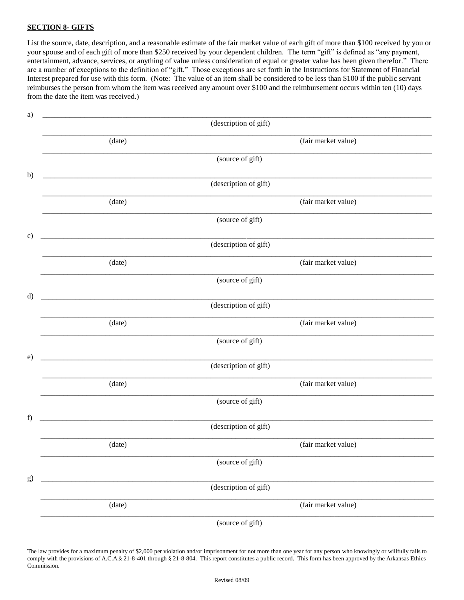### **SECTION 8- GIFTS**

List the source, date, description, and a reasonable estimate of the fair market value of each gift of more than \$100 received by you or your spouse and of each gift of more than \$250 received by your dependent children. The term "gift" is defined as "any payment, entertainment, advance, services, or anything of value unless consideration of equal or greater value has been given therefor." There are a number of exceptions to the definition of "gift." Those exceptions are set forth in the Instructions for Statement of Financial Interest prepared for use with this form. (Note: The value of an item shall be considered to be less than \$100 if the public servant reimburses the person from whom the item was received any amount over \$100 and the reimbursement occurs within ten (10) days from the date the item was received.)

| a)           |                                                      |                     |
|--------------|------------------------------------------------------|---------------------|
|              | (description of gift)                                |                     |
|              | (date)                                               | (fair market value) |
|              | (source of gift)                                     |                     |
| b)           | <u> 1980 - Johann Barn, fransk politik (d. 1980)</u> |                     |
|              | (description of gift)                                |                     |
|              | (date)                                               | (fair market value) |
|              | (source of gift)                                     |                     |
| $\mathbf{c}$ |                                                      |                     |
|              | (description of gift)                                |                     |
|              | (date)                                               | (fair market value) |
|              | (source of gift)                                     |                     |
| $\mathbf{d}$ |                                                      |                     |
|              | (description of gift)                                |                     |
|              | (date)                                               | (fair market value) |
|              | (source of gift)                                     |                     |
| e)           |                                                      |                     |
|              | (description of gift)                                |                     |
|              | (date)                                               | (fair market value) |
|              | (source of gift)                                     |                     |
| f)           |                                                      |                     |
|              | (description of gift)                                |                     |
|              | (date)                                               | (fair market value) |
|              | (source of gift)                                     |                     |
| g)           |                                                      |                     |
|              | (description of gift)                                |                     |
|              | (date)                                               | (fair market value) |
|              | (source of gift)                                     |                     |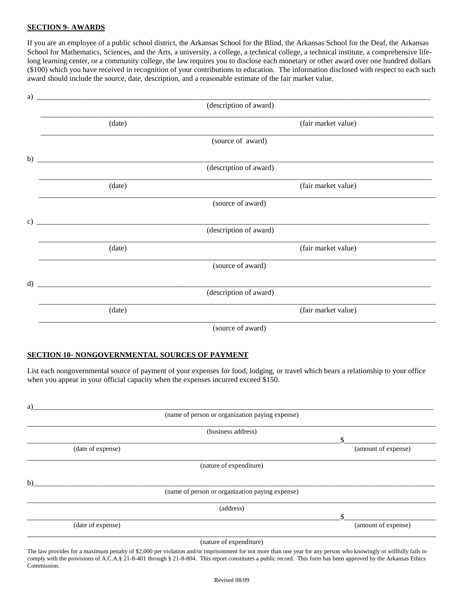## **SECTION 9- AWARDS**

If you are an employee of a public school district, the Arkansas School for the Blind, the Arkansas School for the Deaf, the Arkansas School for Mathematics, Sciences, and the Arts, a university, a college, a technical college, a technical institute, a comprehensive lifelong learning center, or a community college, the law requires you to disclose each monetary or other award over one hundred dollars (\$100) which you have received in recognition of your contributions to education. The information disclosed with respect to each such award should include the source, date, description, and a reasonable estimate of the fair market value.

| a)            |                                                            |                        |                     |
|---------------|------------------------------------------------------------|------------------------|---------------------|
|               |                                                            | (description of award) |                     |
|               | (date)                                                     |                        | (fair market value) |
|               |                                                            | (source of award)      |                     |
| b)            |                                                            |                        |                     |
|               |                                                            | (description of award) |                     |
|               | (date)                                                     |                        | (fair market value) |
|               |                                                            | (source of award)      |                     |
| $\mathbf{c})$ | <u> 1980 - John Stein, Amerikaansk politiker (</u> † 1920) |                        |                     |
|               |                                                            | (description of award) |                     |
|               | (date)                                                     |                        | (fair market value) |
|               |                                                            | (source of award)      |                     |
| $\mathbf{d}$  |                                                            |                        |                     |
|               |                                                            | (description of award) |                     |
|               | (date)                                                     |                        | (fair market value) |
|               |                                                            | (source of award)      |                     |

#### **SECTION 10- NONGOVERNMENTAL SOURCES OF PAYMENT**

List each nongovernmental source of payment of your expenses for food, lodging, or travel which bears a relationship to your office when you appear in your official capacity when the expenses incurred exceed \$150.

|                   | (name of person or organization paying expense) |                     |
|-------------------|-------------------------------------------------|---------------------|
|                   |                                                 |                     |
|                   | (business address)                              |                     |
|                   |                                                 |                     |
| (date of expense) |                                                 | (amount of expense) |
|                   | (nature of expenditure)                         |                     |
|                   |                                                 |                     |
|                   | (name of person or organization paying expense) |                     |
|                   | (address)                                       |                     |
|                   |                                                 |                     |
| (date of expense) |                                                 | (amount of expense) |
|                   | (nature of expenditure)                         |                     |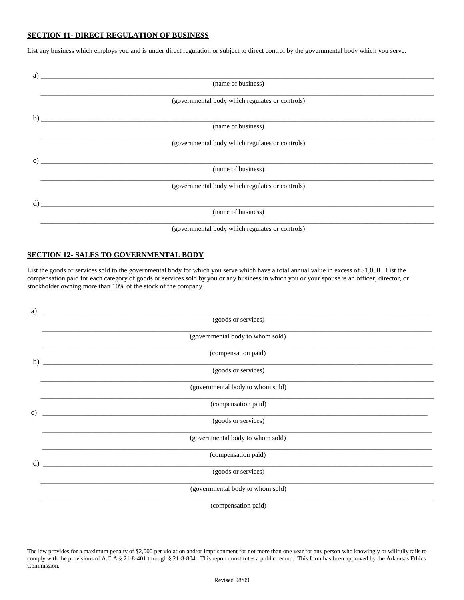## **SECTION 11- DIRECT REGULATION OF BUSINESS**

List any business which employs you and is under direct regulation or subject to direct control by the governmental body which you serve.

| a)              |                                                           |  |
|-----------------|-----------------------------------------------------------|--|
|                 | (name of business)                                        |  |
|                 | (governmental body which regulates or controls)           |  |
|                 |                                                           |  |
|                 | (name of business)                                        |  |
|                 | (governmental body which regulates or controls)           |  |
| $\mathcal{C}$ ) | <u> 1989 - John Stein, Amerikaansk politiker (* 1989)</u> |  |
|                 | (name of business)                                        |  |
|                 | (governmental body which regulates or controls)           |  |
| d)              |                                                           |  |
|                 | (name of business)                                        |  |
|                 | (governmental body which regulates or controls)           |  |

#### **SECTION 12- SALES TO GOVERNMENTAL BODY**

List the goods or services sold to the governmental body for which you serve which have a total annual value in excess of \$1,000. List the compensation paid for each category of goods or services sold by you or any business in which you or your spouse is an officer, director, or stockholder owning more than 10% of the stock of the company.

| a)           |                                  |
|--------------|----------------------------------|
|              | (goods or services)              |
|              | (governmental body to whom sold) |
| b)           | (compensation paid)              |
|              | (goods or services)              |
|              | (governmental body to whom sold) |
| $\mathbf{c}$ | (compensation paid)              |
|              | (goods or services)              |
|              | (governmental body to whom sold) |
| $\rm d$      | (compensation paid)              |
|              | (goods or services)              |
|              | (governmental body to whom sold) |
|              | (compensation paid)              |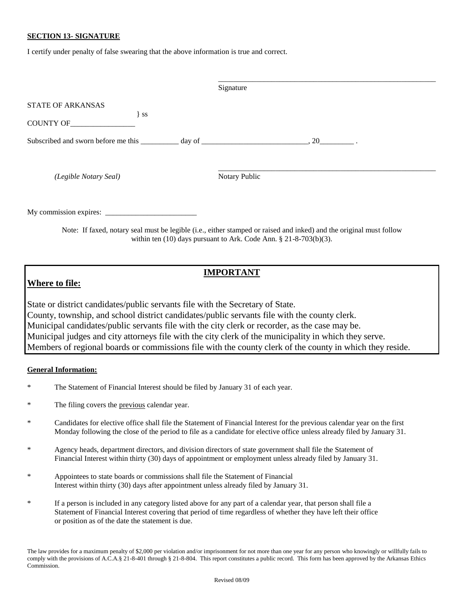#### **SECTION 13- SIGNATURE**

I certify under penalty of false swearing that the above information is true and correct.

|                                                                                   | Signature        |
|-----------------------------------------------------------------------------------|------------------|
| <b>STATE OF ARKANSAS</b>                                                          |                  |
| $\}$ ss<br>COUNTY OF                                                              |                  |
| Subscribed and sworn before me this _________ day of ____________________________ | $\frac{1}{20}$ . |
| (Legible Notary Seal)                                                             | Notary Public    |
|                                                                                   |                  |

Note: If faxed, notary seal must be legible (i.e., either stamped or raised and inked) and the original must follow within ten (10) days pursuant to Ark. Code Ann. § 21-8-703(b)(3).

# **Where to file:**

# **IMPORTANT**

State or district candidates/public servants file with the Secretary of State. County, township, and school district candidates/public servants file with the county clerk. Municipal candidates/public servants file with the city clerk or recorder, as the case may be. Municipal judges and city attorneys file with the city clerk of the municipality in which they serve. Members of regional boards or commissions file with the county clerk of the county in which they reside.

### **General Information:**

- The Statement of Financial Interest should be filed by January 31 of each year.
- \* The filing covers the previous calendar year.
- \* Candidates for elective office shall file the Statement of Financial Interest for the previous calendar year on the first Monday following the close of the period to file as a candidate for elective office unless already filed by January 31.
- \* Agency heads, department directors, and division directors of state government shall file the Statement of Financial Interest within thirty (30) days of appointment or employment unless already filed by January 31.
- \* Appointees to state boards or commissions shall file the Statement of Financial Interest within thirty (30) days after appointment unless already filed by January 31.
- \* If a person is included in any category listed above for any part of a calendar year, that person shall file a Statement of Financial Interest covering that period of time regardless of whether they have left their office or position as of the date the statement is due.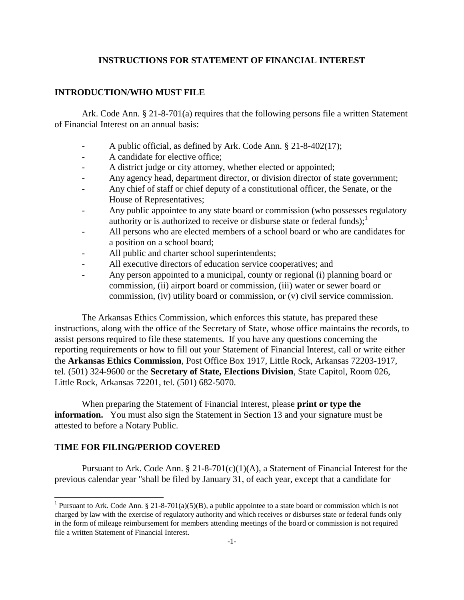# **INSTRUCTIONS FOR STATEMENT OF FINANCIAL INTEREST**

## **INTRODUCTION/WHO MUST FILE**

Ark. Code Ann. § 21-8-701(a) requires that the following persons file a written Statement of Financial Interest on an annual basis:

- A public official, as defined by Ark. Code Ann. § 21-8-402(17);
- A candidate for elective office;
- A district judge or city attorney, whether elected or appointed;
- Any agency head, department director, or division director of state government;
- Any chief of staff or chief deputy of a constitutional officer, the Senate, or the House of Representatives;
- Any public appointee to any state board or commission (who possesses regulatory authority or is authorized to receive or disburse state or federal funds);<sup>1</sup>
- All persons who are elected members of a school board or who are candidates for a position on a school board;
- All public and charter school superintendents;
- All executive directors of education service cooperatives; and
- Any person appointed to a municipal, county or regional (i) planning board or commission, (ii) airport board or commission, (iii) water or sewer board or commission, (iv) utility board or commission, or (v) civil service commission.

The Arkansas Ethics Commission, which enforces this statute, has prepared these instructions, along with the office of the Secretary of State, whose office maintains the records, to assist persons required to file these statements. If you have any questions concerning the reporting requirements or how to fill out your Statement of Financial Interest, call or write either the **Arkansas Ethics Commission**, Post Office Box 1917, Little Rock, Arkansas 72203-1917, tel. (501) 324-9600 or the **Secretary of State, Elections Division**, State Capitol, Room 026, Little Rock, Arkansas 72201, tel. (501) 682-5070.

When preparing the Statement of Financial Interest, please **print or type the information.** You must also sign the Statement in Section 13 and your signature must be attested to before a Notary Public.

# **TIME FOR FILING/PERIOD COVERED**

 $\overline{a}$ 

Pursuant to Ark. Code Ann.  $\S 21-8-701(c)(1)(A)$ , a Statement of Financial Interest for the previous calendar year "shall be filed by January 31, of each year, except that a candidate for

<sup>&</sup>lt;sup>1</sup> Pursuant to Ark. Code Ann. § 21-8-701(a)(5)(B), a public appointee to a state board or commission which is not charged by law with the exercise of regulatory authority and which receives or disburses state or federal funds only in the form of mileage reimbursement for members attending meetings of the board or commission is not required file a written Statement of Financial Interest.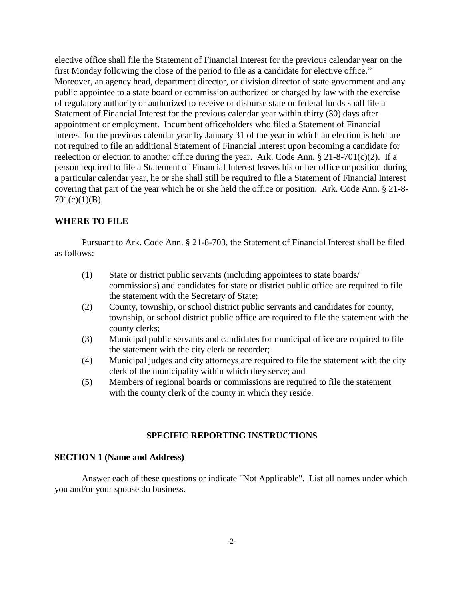elective office shall file the Statement of Financial Interest for the previous calendar year on the first Monday following the close of the period to file as a candidate for elective office." Moreover, an agency head, department director, or division director of state government and any public appointee to a state board or commission authorized or charged by law with the exercise of regulatory authority or authorized to receive or disburse state or federal funds shall file a Statement of Financial Interest for the previous calendar year within thirty (30) days after appointment or employment. Incumbent officeholders who filed a Statement of Financial Interest for the previous calendar year by January 31 of the year in which an election is held are not required to file an additional Statement of Financial Interest upon becoming a candidate for reelection or election to another office during the year. Ark. Code Ann. § 21-8-701(c)(2). If a person required to file a Statement of Financial Interest leaves his or her office or position during a particular calendar year, he or she shall still be required to file a Statement of Financial Interest covering that part of the year which he or she held the office or position. Ark. Code Ann. § 21-8-  $701(c)(1)(B)$ .

# **WHERE TO FILE**

Pursuant to Ark. Code Ann. § 21-8-703, the Statement of Financial Interest shall be filed as follows:

- (1) State or district public servants (including appointees to state boards/ commissions) and candidates for state or district public office are required to file the statement with the Secretary of State;
- (2) County, township, or school district public servants and candidates for county, township, or school district public office are required to file the statement with the county clerks;
- (3) Municipal public servants and candidates for municipal office are required to file the statement with the city clerk or recorder;
- (4) Municipal judges and city attorneys are required to file the statement with the city clerk of the municipality within which they serve; and
- (5) Members of regional boards or commissions are required to file the statement with the county clerk of the county in which they reside.

# **SPECIFIC REPORTING INSTRUCTIONS**

### **SECTION 1 (Name and Address)**

Answer each of these questions or indicate "Not Applicable". List all names under which you and/or your spouse do business.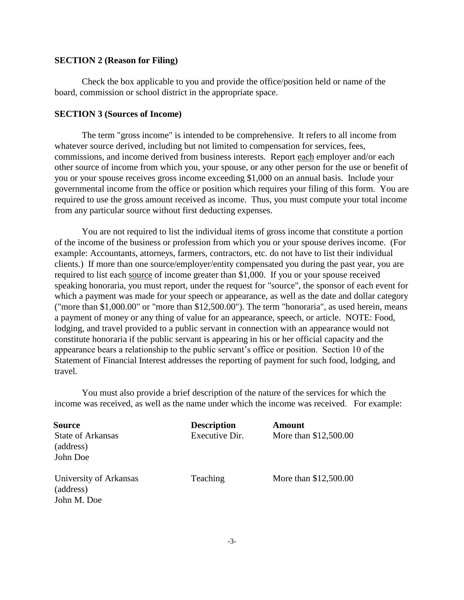# **SECTION 2 (Reason for Filing)**

Check the box applicable to you and provide the office/position held or name of the board, commission or school district in the appropriate space.

# **SECTION 3 (Sources of Income)**

The term "gross income" is intended to be comprehensive. It refers to all income from whatever source derived, including but not limited to compensation for services, fees, commissions, and income derived from business interests. Report each employer and/or each other source of income from which you, your spouse, or any other person for the use or benefit of you or your spouse receives gross income exceeding \$1,000 on an annual basis. Include your governmental income from the office or position which requires your filing of this form. You are required to use the gross amount received as income. Thus, you must compute your total income from any particular source without first deducting expenses.

You are not required to list the individual items of gross income that constitute a portion of the income of the business or profession from which you or your spouse derives income. (For example: Accountants, attorneys, farmers, contractors, etc. do not have to list their individual clients.) If more than one source/employer/entity compensated you during the past year, you are required to list each source of income greater than \$1,000. If you or your spouse received speaking honoraria, you must report, under the request for "source", the sponsor of each event for which a payment was made for your speech or appearance, as well as the date and dollar category ("more than \$1,000.00" or "more than \$12,500.00"). The term "honoraria", as used herein, means a payment of money or any thing of value for an appearance, speech, or article. NOTE: Food, lodging, and travel provided to a public servant in connection with an appearance would not constitute honoraria if the public servant is appearing in his or her official capacity and the appearance bears a relationship to the public servant's office or position. Section 10 of the Statement of Financial Interest addresses the reporting of payment for such food, lodging, and travel.

You must also provide a brief description of the nature of the services for which the income was received, as well as the name under which the income was received. For example:

| Source                                | <b>Description</b> | <b>Amount</b>         |
|---------------------------------------|--------------------|-----------------------|
| <b>State of Arkansas</b><br>(address) | Executive Dir.     | More than \$12,500.00 |
| John Doe                              |                    |                       |
| University of Arkansas<br>(address)   | Teaching           | More than \$12,500.00 |
| John M. Doe                           |                    |                       |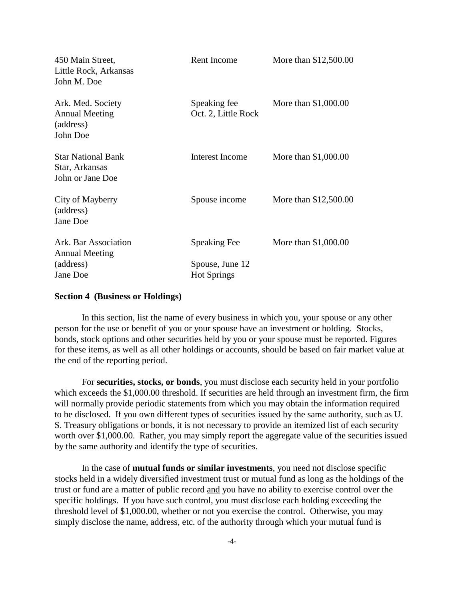| 450 Main Street,<br>Little Rock, Arkansas<br>John M. Doe            | Rent Income                           | More than \$12,500.00 |
|---------------------------------------------------------------------|---------------------------------------|-----------------------|
| Ark. Med. Society<br><b>Annual Meeting</b><br>(address)<br>John Doe | Speaking fee<br>Oct. 2, Little Rock   | More than \$1,000.00  |
| <b>Star National Bank</b><br>Star, Arkansas<br>John or Jane Doe     | Interest Income                       | More than \$1,000.00  |
| City of Mayberry<br>(address)<br>Jane Doe                           | Spouse income                         | More than \$12,500.00 |
| Ark. Bar Association<br><b>Annual Meeting</b>                       | <b>Speaking Fee</b>                   | More than \$1,000.00  |
| (address)<br>Jane Doe                                               | Spouse, June 12<br><b>Hot Springs</b> |                       |

# **Section 4 (Business or Holdings)**

In this section, list the name of every business in which you, your spouse or any other person for the use or benefit of you or your spouse have an investment or holding. Stocks, bonds, stock options and other securities held by you or your spouse must be reported. Figures for these items, as well as all other holdings or accounts, should be based on fair market value at the end of the reporting period.

For **securities, stocks, or bonds**, you must disclose each security held in your portfolio which exceeds the \$1,000.00 threshold. If securities are held through an investment firm, the firm will normally provide periodic statements from which you may obtain the information required to be disclosed. If you own different types of securities issued by the same authority, such as U. S. Treasury obligations or bonds, it is not necessary to provide an itemized list of each security worth over \$1,000.00. Rather, you may simply report the aggregate value of the securities issued by the same authority and identify the type of securities.

In the case of **mutual funds or similar investments**, you need not disclose specific stocks held in a widely diversified investment trust or mutual fund as long as the holdings of the trust or fund are a matter of public record and you have no ability to exercise control over the specific holdings. If you have such control, you must disclose each holding exceeding the threshold level of \$1,000.00, whether or not you exercise the control. Otherwise, you may simply disclose the name, address, etc. of the authority through which your mutual fund is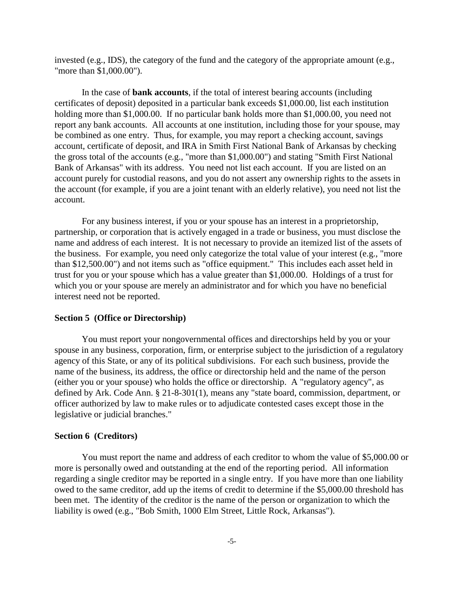invested (e.g., IDS), the category of the fund and the category of the appropriate amount (e.g., "more than \$1,000.00").

In the case of **bank accounts**, if the total of interest bearing accounts (including certificates of deposit) deposited in a particular bank exceeds \$1,000.00, list each institution holding more than \$1,000.00. If no particular bank holds more than \$1,000.00, you need not report any bank accounts. All accounts at one institution, including those for your spouse, may be combined as one entry. Thus, for example, you may report a checking account, savings account, certificate of deposit, and IRA in Smith First National Bank of Arkansas by checking the gross total of the accounts (e.g., "more than \$1,000.00") and stating "Smith First National Bank of Arkansas" with its address. You need not list each account. If you are listed on an account purely for custodial reasons, and you do not assert any ownership rights to the assets in the account (for example, if you are a joint tenant with an elderly relative), you need not list the account.

For any business interest, if you or your spouse has an interest in a proprietorship, partnership, or corporation that is actively engaged in a trade or business, you must disclose the name and address of each interest. It is not necessary to provide an itemized list of the assets of the business. For example, you need only categorize the total value of your interest (e.g., "more than \$12,500.00") and not items such as "office equipment." This includes each asset held in trust for you or your spouse which has a value greater than \$1,000.00. Holdings of a trust for which you or your spouse are merely an administrator and for which you have no beneficial interest need not be reported.

## **Section 5 (Office or Directorship)**

You must report your nongovernmental offices and directorships held by you or your spouse in any business, corporation, firm, or enterprise subject to the jurisdiction of a regulatory agency of this State, or any of its political subdivisions. For each such business, provide the name of the business, its address, the office or directorship held and the name of the person (either you or your spouse) who holds the office or directorship. A "regulatory agency", as defined by Ark. Code Ann. § 21-8-301(1), means any "state board, commission, department, or officer authorized by law to make rules or to adjudicate contested cases except those in the legislative or judicial branches."

#### **Section 6 (Creditors)**

You must report the name and address of each creditor to whom the value of \$5,000.00 or more is personally owed and outstanding at the end of the reporting period. All information regarding a single creditor may be reported in a single entry. If you have more than one liability owed to the same creditor, add up the items of credit to determine if the \$5,000.00 threshold has been met. The identity of the creditor is the name of the person or organization to which the liability is owed (e.g., "Bob Smith, 1000 Elm Street, Little Rock, Arkansas").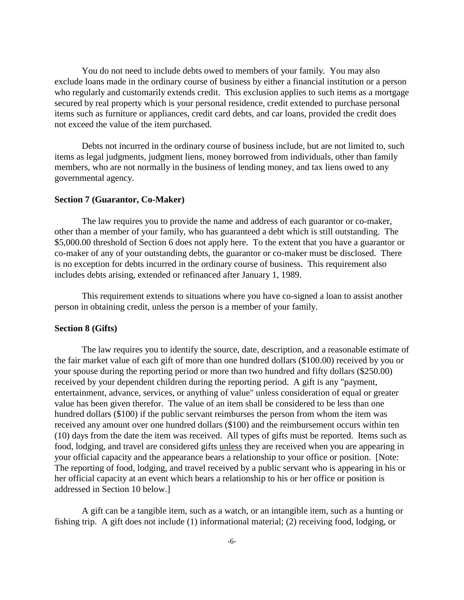You do not need to include debts owed to members of your family. You may also exclude loans made in the ordinary course of business by either a financial institution or a person who regularly and customarily extends credit. This exclusion applies to such items as a mortgage secured by real property which is your personal residence, credit extended to purchase personal items such as furniture or appliances, credit card debts, and car loans, provided the credit does not exceed the value of the item purchased.

Debts not incurred in the ordinary course of business include, but are not limited to, such items as legal judgments, judgment liens, money borrowed from individuals, other than family members, who are not normally in the business of lending money, and tax liens owed to any governmental agency.

# **Section 7 (Guarantor, Co-Maker)**

The law requires you to provide the name and address of each guarantor or co-maker, other than a member of your family, who has guaranteed a debt which is still outstanding. The \$5,000.00 threshold of Section 6 does not apply here. To the extent that you have a guarantor or co-maker of any of your outstanding debts, the guarantor or co-maker must be disclosed. There is no exception for debts incurred in the ordinary course of business. This requirement also includes debts arising, extended or refinanced after January 1, 1989.

This requirement extends to situations where you have co-signed a loan to assist another person in obtaining credit, unless the person is a member of your family.

### **Section 8 (Gifts)**

The law requires you to identify the source, date, description, and a reasonable estimate of the fair market value of each gift of more than one hundred dollars (\$100.00) received by you or your spouse during the reporting period or more than two hundred and fifty dollars (\$250.00) received by your dependent children during the reporting period. A gift is any "payment, entertainment, advance, services, or anything of value" unless consideration of equal or greater value has been given therefor. The value of an item shall be considered to be less than one hundred dollars (\$100) if the public servant reimburses the person from whom the item was received any amount over one hundred dollars (\$100) and the reimbursement occurs within ten (10) days from the date the item was received. All types of gifts must be reported. Items such as food, lodging, and travel are considered gifts unless they are received when you are appearing in your official capacity and the appearance bears a relationship to your office or position. [Note: The reporting of food, lodging, and travel received by a public servant who is appearing in his or her official capacity at an event which bears a relationship to his or her office or position is addressed in Section 10 below.]

A gift can be a tangible item, such as a watch, or an intangible item, such as a hunting or fishing trip. A gift does not include (1) informational material; (2) receiving food, lodging, or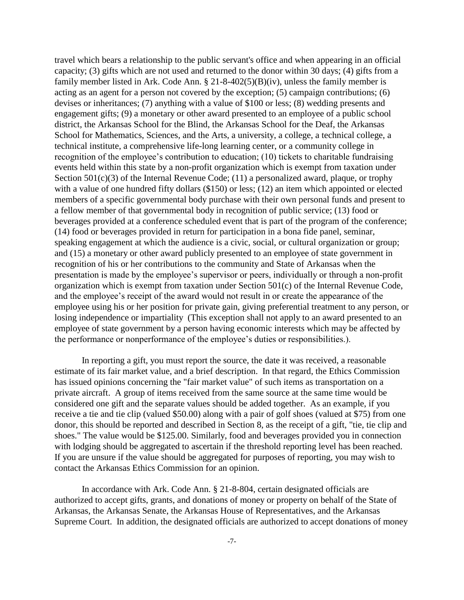travel which bears a relationship to the public servant's office and when appearing in an official capacity; (3) gifts which are not used and returned to the donor within 30 days; (4) gifts from a family member listed in Ark. Code Ann. § 21-8-402(5)(B)(iv), unless the family member is acting as an agent for a person not covered by the exception; (5) campaign contributions; (6) devises or inheritances; (7) anything with a value of \$100 or less; (8) wedding presents and engagement gifts; (9) a monetary or other award presented to an employee of a public school district, the Arkansas School for the Blind, the Arkansas School for the Deaf, the Arkansas School for Mathematics, Sciences, and the Arts, a university, a college, a technical college, a technical institute, a comprehensive life-long learning center, or a community college in recognition of the employee's contribution to education; (10) tickets to charitable fundraising events held within this state by a non-profit organization which is exempt from taxation under Section  $501(c)(3)$  of the Internal Revenue Code; (11) a personalized award, plaque, or trophy with a value of one hundred fifty dollars (\$150) or less; (12) an item which appointed or elected members of a specific governmental body purchase with their own personal funds and present to a fellow member of that governmental body in recognition of public service; (13) food or beverages provided at a conference scheduled event that is part of the program of the conference; (14) food or beverages provided in return for participation in a bona fide panel, seminar, speaking engagement at which the audience is a civic, social, or cultural organization or group; and (15) a monetary or other award publicly presented to an employee of state government in recognition of his or her contributions to the community and State of Arkansas when the presentation is made by the employee's supervisor or peers, individually or through a non-profit organization which is exempt from taxation under Section 501(c) of the Internal Revenue Code, and the employee's receipt of the award would not result in or create the appearance of the employee using his or her position for private gain, giving preferential treatment to any person, or losing independence or impartiality (This exception shall not apply to an award presented to an employee of state government by a person having economic interests which may be affected by the performance or nonperformance of the employee's duties or responsibilities.).

In reporting a gift, you must report the source, the date it was received, a reasonable estimate of its fair market value, and a brief description. In that regard, the Ethics Commission has issued opinions concerning the "fair market value" of such items as transportation on a private aircraft. A group of items received from the same source at the same time would be considered one gift and the separate values should be added together. As an example, if you receive a tie and tie clip (valued \$50.00) along with a pair of golf shoes (valued at \$75) from one donor, this should be reported and described in Section 8, as the receipt of a gift, "tie, tie clip and shoes." The value would be \$125.00. Similarly, food and beverages provided you in connection with lodging should be aggregated to ascertain if the threshold reporting level has been reached. If you are unsure if the value should be aggregated for purposes of reporting, you may wish to contact the Arkansas Ethics Commission for an opinion.

In accordance with Ark. Code Ann. § 21-8-804, certain designated officials are authorized to accept gifts, grants, and donations of money or property on behalf of the State of Arkansas, the Arkansas Senate, the Arkansas House of Representatives, and the Arkansas Supreme Court. In addition, the designated officials are authorized to accept donations of money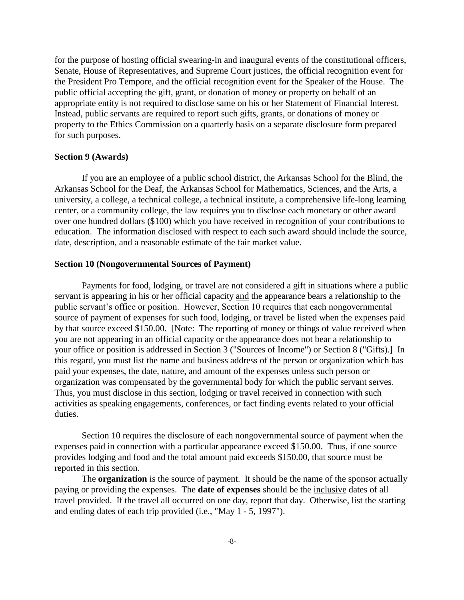for the purpose of hosting official swearing-in and inaugural events of the constitutional officers, Senate, House of Representatives, and Supreme Court justices, the official recognition event for the President Pro Tempore, and the official recognition event for the Speaker of the House. The public official accepting the gift, grant, or donation of money or property on behalf of an appropriate entity is not required to disclose same on his or her Statement of Financial Interest. Instead, public servants are required to report such gifts, grants, or donations of money or property to the Ethics Commission on a quarterly basis on a separate disclosure form prepared for such purposes.

### **Section 9 (Awards)**

If you are an employee of a public school district, the Arkansas School for the Blind, the Arkansas School for the Deaf, the Arkansas School for Mathematics, Sciences, and the Arts, a university, a college, a technical college, a technical institute, a comprehensive life-long learning center, or a community college, the law requires you to disclose each monetary or other award over one hundred dollars (\$100) which you have received in recognition of your contributions to education. The information disclosed with respect to each such award should include the source, date, description, and a reasonable estimate of the fair market value.

#### **Section 10 (Nongovernmental Sources of Payment)**

Payments for food, lodging, or travel are not considered a gift in situations where a public servant is appearing in his or her official capacity and the appearance bears a relationship to the public servant's office or position. However, Section 10 requires that each nongovernmental source of payment of expenses for such food, lodging, or travel be listed when the expenses paid by that source exceed \$150.00. [Note: The reporting of money or things of value received when you are not appearing in an official capacity or the appearance does not bear a relationship to your office or position is addressed in Section 3 ("Sources of Income") or Section 8 ("Gifts).] In this regard, you must list the name and business address of the person or organization which has paid your expenses, the date, nature, and amount of the expenses unless such person or organization was compensated by the governmental body for which the public servant serves. Thus, you must disclose in this section, lodging or travel received in connection with such activities as speaking engagements, conferences, or fact finding events related to your official duties.

Section 10 requires the disclosure of each nongovernmental source of payment when the expenses paid in connection with a particular appearance exceed \$150.00. Thus, if one source provides lodging and food and the total amount paid exceeds \$150.00, that source must be reported in this section.

The **organization** is the source of payment. It should be the name of the sponsor actually paying or providing the expenses. The **date of expenses** should be the inclusive dates of all travel provided. If the travel all occurred on one day, report that day. Otherwise, list the starting and ending dates of each trip provided (i.e., "May 1 - 5, 1997").